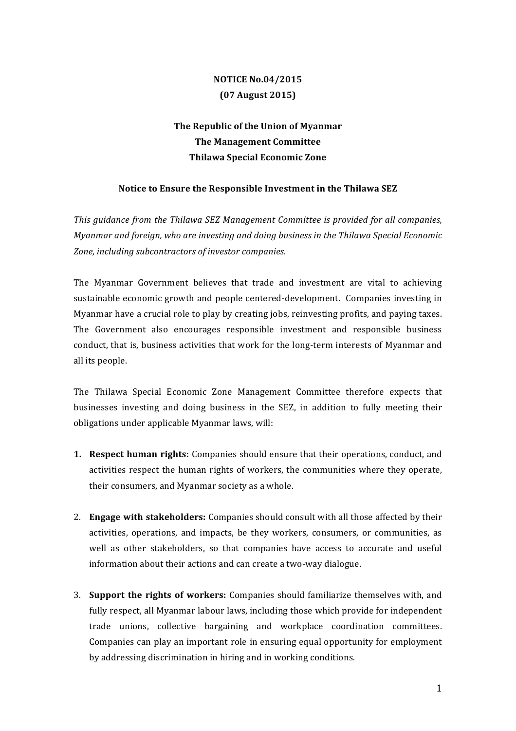## **NOTICE No.04/2015 (07 August 2015)**

## The Republic of the Union of Myanmar **The Management Committee Thilawa Special Economic Zone**

## Notice to Ensure the Responsible Investment in the Thilawa SEZ

This guidance from the Thilawa SEZ Management Committee is provided for all companies, *Myanmar and foreign, who are investing and doing business in the Thilawa Special Economic* Zone, including subcontractors of investor companies.

The Myanmar Government believes that trade and investment are vital to achieving sustainable economic growth and people centered-development. Companies investing in Myanmar have a crucial role to play by creating jobs, reinvesting profits, and paying taxes. The Government also encourages responsible investment and responsible business conduct, that is, business activities that work for the long-term interests of Myanmar and all its people.

The Thilawa Special Economic Zone Management Committee therefore expects that businesses investing and doing business in the SEZ, in addition to fully meeting their obligations under applicable Myanmar laws, will:

- **1. Respect human rights:** Companies should ensure that their operations, conduct, and activities respect the human rights of workers, the communities where they operate, their consumers, and Myanmar society as a whole.
- 2. **Engage with stakeholders:** Companies should consult with all those affected by their activities, operations, and impacts, be they workers, consumers, or communities, as well as other stakeholders, so that companies have access to accurate and useful information about their actions and can create a two-way dialogue.
- 3. **Support the rights of workers:** Companies should familiarize themselves with, and fully respect, all Myanmar labour laws, including those which provide for independent trade unions, collective bargaining and workplace coordination committees. Companies can play an important role in ensuring equal opportunity for employment by addressing discrimination in hiring and in working conditions.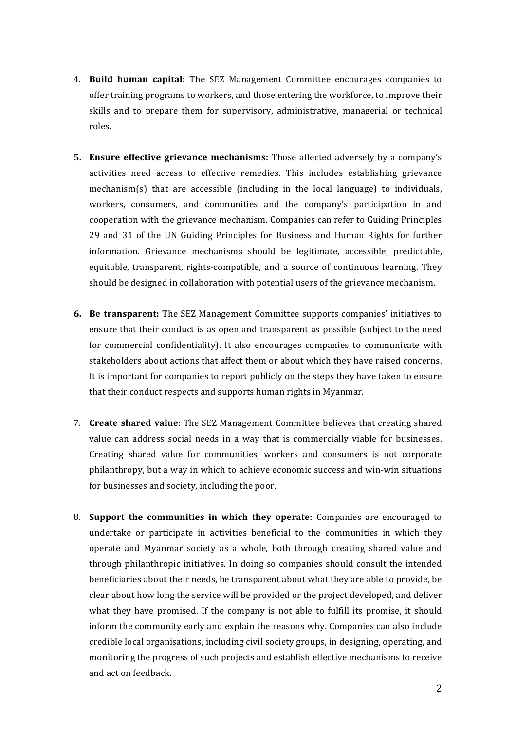- 4. **Build human capital:** The SEZ Management Committee encourages companies to offer training programs to workers, and those entering the workforce, to improve their skills and to prepare them for supervisory, administrative, managerial or technical roles.
- **5. Ensure effective grievance mechanisms:** Those affected adversely by a company's activities need access to effective remedies. This includes establishing grievance mechanism(s) that are accessible (including in the local language) to individuals, workers, consumers, and communities and the company's participation in and cooperation with the grievance mechanism. Companies can refer to Guiding Principles 29 and 31 of the UN Guiding Principles for Business and Human Rights for further information. Grievance mechanisms should be legitimate, accessible, predictable, equitable, transparent, rights-compatible, and a source of continuous learning. They should be designed in collaboration with potential users of the grievance mechanism.
- **6. Be transparent:** The SEZ Management Committee supports companies' initiatives to ensure that their conduct is as open and transparent as possible (subject to the need for commercial confidentiality). It also encourages companies to communicate with stakeholders about actions that affect them or about which they have raised concerns. It is important for companies to report publicly on the steps they have taken to ensure that their conduct respects and supports human rights in Myanmar.
- 7. **Create shared value**: The SEZ Management Committee believes that creating shared value can address social needs in a way that is commercially viable for businesses. Creating shared value for communities, workers and consumers is not corporate philanthropy, but a way in which to achieve economic success and win-win situations for businesses and society, including the poor.
- 8. **Support the communities in which they operate:** Companies are encouraged to undertake or participate in activities beneficial to the communities in which they operate and Myanmar society as a whole, both through creating shared value and through philanthropic initiatives. In doing so companies should consult the intended beneficiaries about their needs, be transparent about what they are able to provide, be clear about how long the service will be provided or the project developed, and deliver what they have promised. If the company is not able to fulfill its promise, it should inform the community early and explain the reasons why. Companies can also include credible local organisations, including civil society groups, in designing, operating, and monitoring the progress of such projects and establish effective mechanisms to receive and act on feedback.